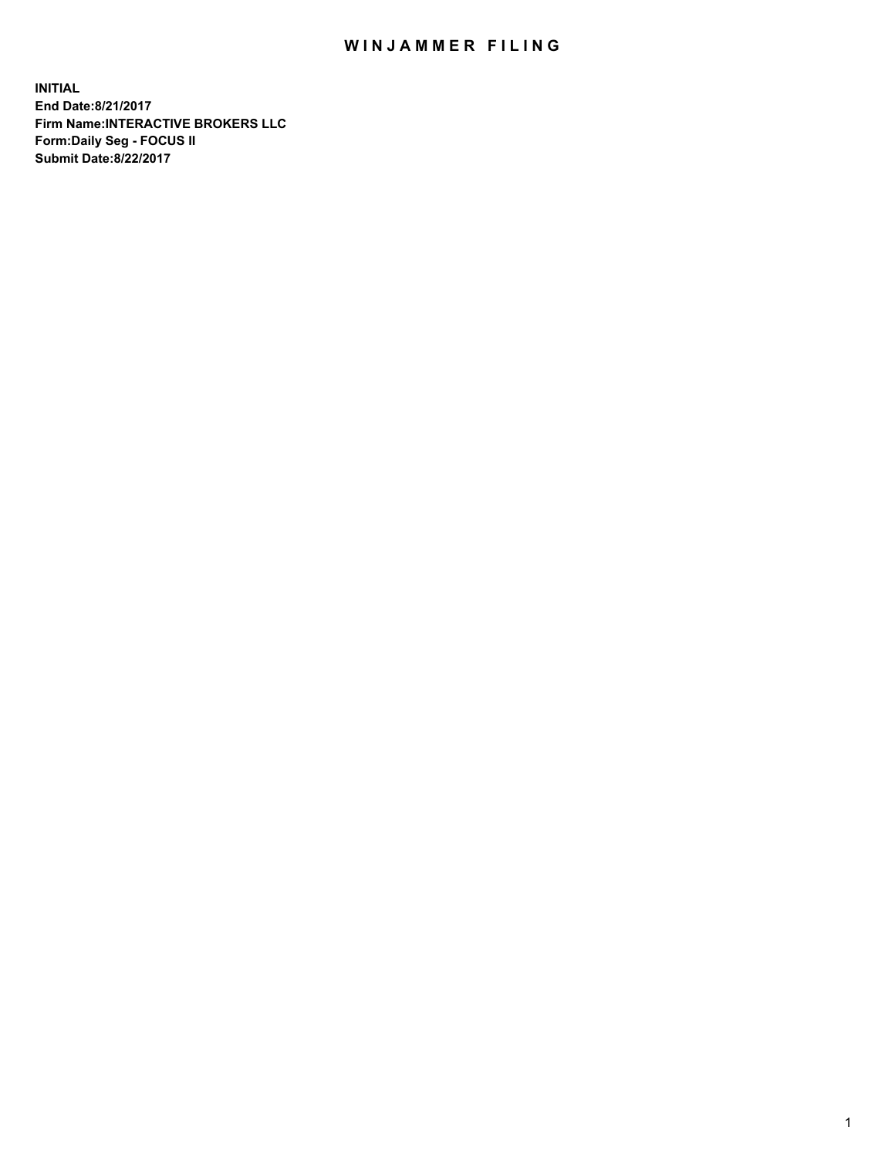## WIN JAMMER FILING

**INITIAL End Date:8/21/2017 Firm Name:INTERACTIVE BROKERS LLC Form:Daily Seg - FOCUS II Submit Date:8/22/2017**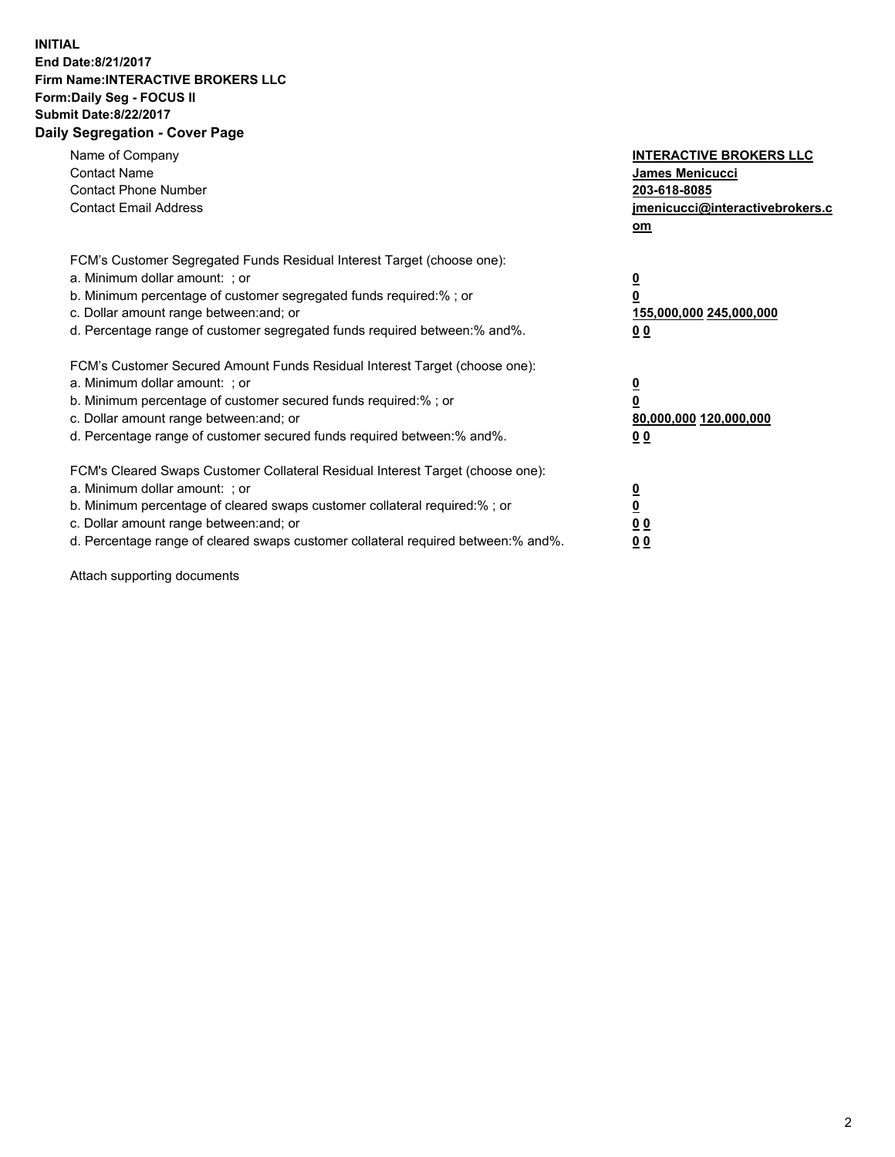## **INITIAL End Date:8/21/2017 Firm Name:INTERACTIVE BROKERS LLC Form:Daily Seg - FOCUS II Submit Date:8/22/2017 Daily Segregation - Cover Page**

| Name of Company<br><b>Contact Name</b><br><b>Contact Phone Number</b><br><b>Contact Email Address</b>                                                                                                                                                                                                                          | <b>INTERACTIVE BROKERS LLC</b><br>James Menicucci<br>203-618-8085<br>jmenicucci@interactivebrokers.c<br>om |
|--------------------------------------------------------------------------------------------------------------------------------------------------------------------------------------------------------------------------------------------------------------------------------------------------------------------------------|------------------------------------------------------------------------------------------------------------|
| FCM's Customer Segregated Funds Residual Interest Target (choose one):<br>a. Minimum dollar amount: ; or<br>b. Minimum percentage of customer segregated funds required:%; or<br>c. Dollar amount range between: and; or<br>d. Percentage range of customer segregated funds required between:% and%.                          | $\overline{\mathbf{0}}$<br>0<br>155,000,000 245,000,000<br>0 <sub>0</sub>                                  |
| FCM's Customer Secured Amount Funds Residual Interest Target (choose one):<br>a. Minimum dollar amount: ; or<br>b. Minimum percentage of customer secured funds required:%; or<br>c. Dollar amount range between: and; or<br>d. Percentage range of customer secured funds required between:% and%.                            | $\overline{\mathbf{0}}$<br>$\overline{\mathbf{0}}$<br>80,000,000 120,000,000<br>00                         |
| FCM's Cleared Swaps Customer Collateral Residual Interest Target (choose one):<br>a. Minimum dollar amount: ; or<br>b. Minimum percentage of cleared swaps customer collateral required:% ; or<br>c. Dollar amount range between: and; or<br>d. Percentage range of cleared swaps customer collateral required between:% and%. | $\overline{\mathbf{0}}$<br>$\overline{\mathbf{0}}$<br>0 <sub>0</sub><br><u>00</u>                          |

Attach supporting documents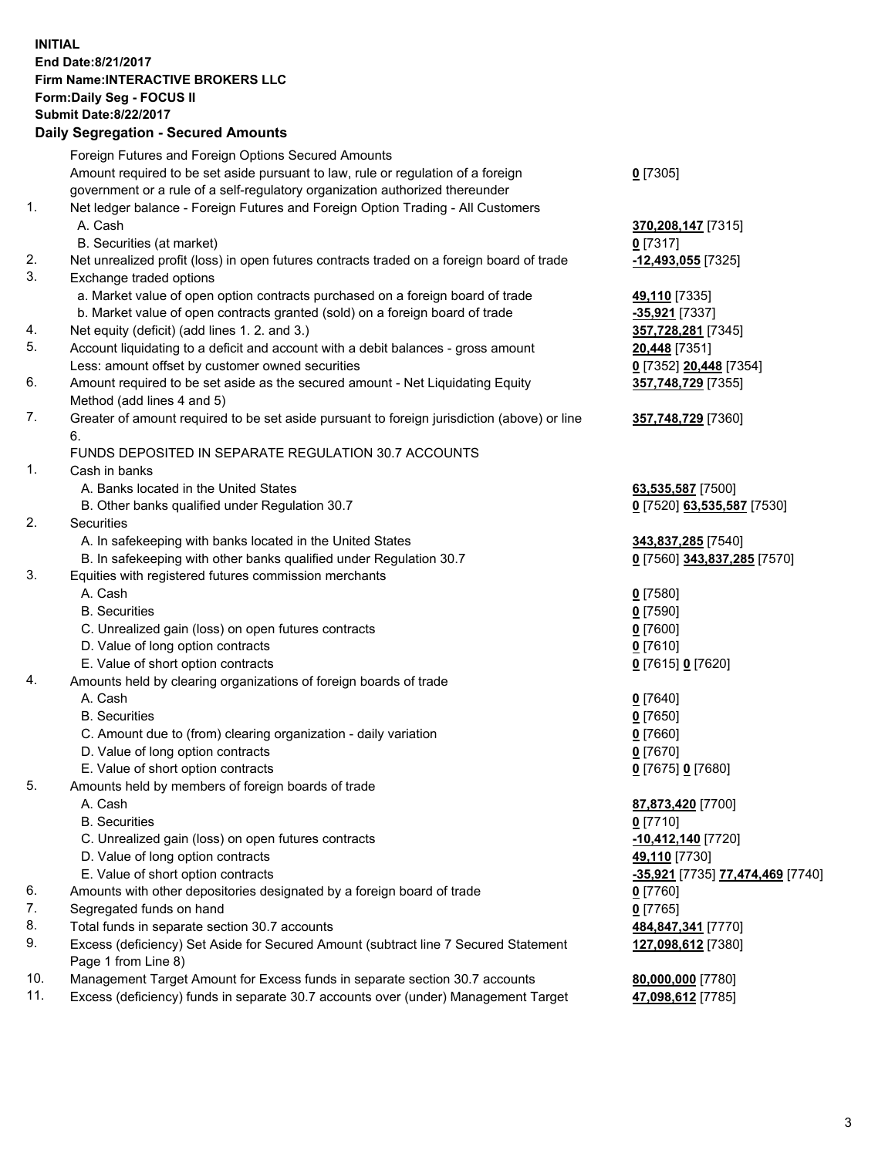## **INITIAL End Date:8/21/2017 Firm Name:INTERACTIVE BROKERS LLC Form:Daily Seg - FOCUS II Submit Date:8/22/2017 Daily Segregation - Secured Amounts**

|                | Dany Oogrogaach - Ocearea Amounta                                                                          |                                  |
|----------------|------------------------------------------------------------------------------------------------------------|----------------------------------|
|                | Foreign Futures and Foreign Options Secured Amounts                                                        |                                  |
|                | Amount required to be set aside pursuant to law, rule or regulation of a foreign                           | $0$ [7305]                       |
|                | government or a rule of a self-regulatory organization authorized thereunder                               |                                  |
| 1.             | Net ledger balance - Foreign Futures and Foreign Option Trading - All Customers                            |                                  |
|                | A. Cash                                                                                                    | 370,208,147 [7315]               |
|                | B. Securities (at market)                                                                                  | $0$ [7317]                       |
| 2.             | Net unrealized profit (loss) in open futures contracts traded on a foreign board of trade                  | -12,493,055 [7325]               |
| 3.             | Exchange traded options                                                                                    |                                  |
|                | a. Market value of open option contracts purchased on a foreign board of trade                             | 49,110 [7335]                    |
|                | b. Market value of open contracts granted (sold) on a foreign board of trade                               | -35,921 [7337]                   |
| 4.             | Net equity (deficit) (add lines 1.2. and 3.)                                                               | 357,728,281 [7345]               |
| 5.             | Account liquidating to a deficit and account with a debit balances - gross amount                          | 20,448 [7351]                    |
|                | Less: amount offset by customer owned securities                                                           | 0 [7352] 20,448 [7354]           |
| 6.             | Amount required to be set aside as the secured amount - Net Liquidating Equity                             | 357,748,729 [7355]               |
|                | Method (add lines 4 and 5)                                                                                 |                                  |
| 7.             | Greater of amount required to be set aside pursuant to foreign jurisdiction (above) or line                | 357,748,729 [7360]               |
|                | 6.                                                                                                         |                                  |
|                | FUNDS DEPOSITED IN SEPARATE REGULATION 30.7 ACCOUNTS                                                       |                                  |
| $\mathbf{1}$ . | Cash in banks                                                                                              |                                  |
|                | A. Banks located in the United States                                                                      | 63,535,587 [7500]                |
|                | B. Other banks qualified under Regulation 30.7                                                             | 0 [7520] 63,535,587 [7530]       |
| 2.             | Securities                                                                                                 |                                  |
|                | A. In safekeeping with banks located in the United States                                                  | 343,837,285 [7540]               |
|                | B. In safekeeping with other banks qualified under Regulation 30.7                                         | 0 [7560] 343,837,285 [7570]      |
| 3.             | Equities with registered futures commission merchants                                                      |                                  |
|                | A. Cash                                                                                                    | $0$ [7580]                       |
|                | <b>B.</b> Securities                                                                                       | $0$ [7590]                       |
|                | C. Unrealized gain (loss) on open futures contracts                                                        | $0$ [7600]                       |
|                | D. Value of long option contracts                                                                          | $0$ [7610]                       |
|                | E. Value of short option contracts                                                                         | 0 [7615] 0 [7620]                |
| 4.             | Amounts held by clearing organizations of foreign boards of trade                                          |                                  |
|                | A. Cash                                                                                                    | $0$ [7640]                       |
|                | <b>B.</b> Securities                                                                                       | $0$ [7650]                       |
|                | C. Amount due to (from) clearing organization - daily variation                                            | $0$ [7660]                       |
|                | D. Value of long option contracts                                                                          | $0$ [7670]                       |
|                | E. Value of short option contracts                                                                         | 0 [7675] 0 [7680]                |
| 5.             | Amounts held by members of foreign boards of trade                                                         |                                  |
|                | A. Cash                                                                                                    | 87,873,420 [7700]                |
|                | <b>B.</b> Securities                                                                                       | $0$ [7710]                       |
|                | C. Unrealized gain (loss) on open futures contracts                                                        | -10,412,140 [7720]               |
|                | D. Value of long option contracts                                                                          | 49,110 [7730]                    |
|                | E. Value of short option contracts                                                                         | -35,921 [7735] 77,474,469 [7740] |
| 6.             | Amounts with other depositories designated by a foreign board of trade                                     | $0$ [7760]                       |
| 7.             | Segregated funds on hand                                                                                   | $0$ [7765]                       |
| 8.             | Total funds in separate section 30.7 accounts                                                              | 484,847,341 [7770]               |
| 9.             | Excess (deficiency) Set Aside for Secured Amount (subtract line 7 Secured Statement<br>Page 1 from Line 8) | 127,098,612 [7380]               |
| 10.            | Management Target Amount for Excess funds in separate section 30.7 accounts                                | 80,000,000 [7780]                |
| 11.            | Excess (deficiency) funds in separate 30.7 accounts over (under) Management Target                         | 47,098,612 [7785]                |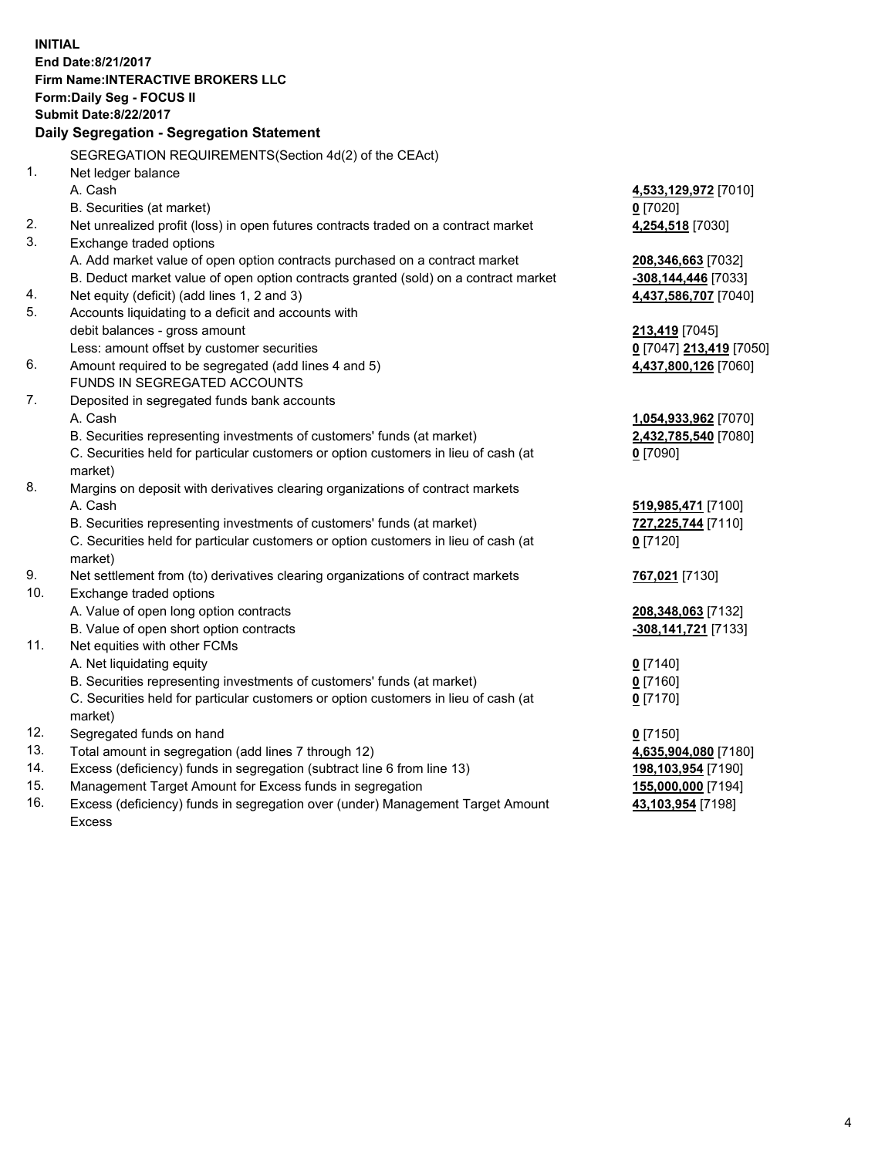**INITIAL End Date:8/21/2017 Firm Name:INTERACTIVE BROKERS LLC Form:Daily Seg - FOCUS II Submit Date:8/22/2017 Daily Segregation - Segregation Statement** SEGREGATION REQUIREMENTS(Section 4d(2) of the CEAct) 1. Net ledger balance A. Cash **4,533,129,972** [7010] B. Securities (at market) **0** [7020] 2. Net unrealized profit (loss) in open futures contracts traded on a contract market **4,254,518** [7030] 3. Exchange traded options A. Add market value of open option contracts purchased on a contract market **208,346,663** [7032] B. Deduct market value of open option contracts granted (sold) on a contract market **-308,144,446** [7033] 4. Net equity (deficit) (add lines 1, 2 and 3) **4,437,586,707** [7040] 5. Accounts liquidating to a deficit and accounts with debit balances - gross amount **213,419** [7045] Less: amount offset by customer securities **0** [7047] **213,419** [7050] 6. Amount required to be segregated (add lines 4 and 5) **4,437,800,126** [7060] FUNDS IN SEGREGATED ACCOUNTS 7. Deposited in segregated funds bank accounts A. Cash **1,054,933,962** [7070] B. Securities representing investments of customers' funds (at market) **2,432,785,540** [7080] C. Securities held for particular customers or option customers in lieu of cash (at market) **0** [7090] 8. Margins on deposit with derivatives clearing organizations of contract markets A. Cash **519,985,471** [7100] B. Securities representing investments of customers' funds (at market) **727,225,744** [7110] C. Securities held for particular customers or option customers in lieu of cash (at market) **0** [7120] 9. Net settlement from (to) derivatives clearing organizations of contract markets **767,021** [7130] 10. Exchange traded options A. Value of open long option contracts **208,348,063** [7132] B. Value of open short option contracts **-308,141,721** [7133] 11. Net equities with other FCMs A. Net liquidating equity **0** [7140] B. Securities representing investments of customers' funds (at market) **0** [7160] C. Securities held for particular customers or option customers in lieu of cash (at market) **0** [7170] 12. Segregated funds on hand **0** [7150] 13. Total amount in segregation (add lines 7 through 12) **4,635,904,080** [7180] 14. Excess (deficiency) funds in segregation (subtract line 6 from line 13) **198,103,954** [7190] 15. Management Target Amount for Excess funds in segregation **155,000,000** [7194] **43,103,954** [7198]

16. Excess (deficiency) funds in segregation over (under) Management Target Amount Excess